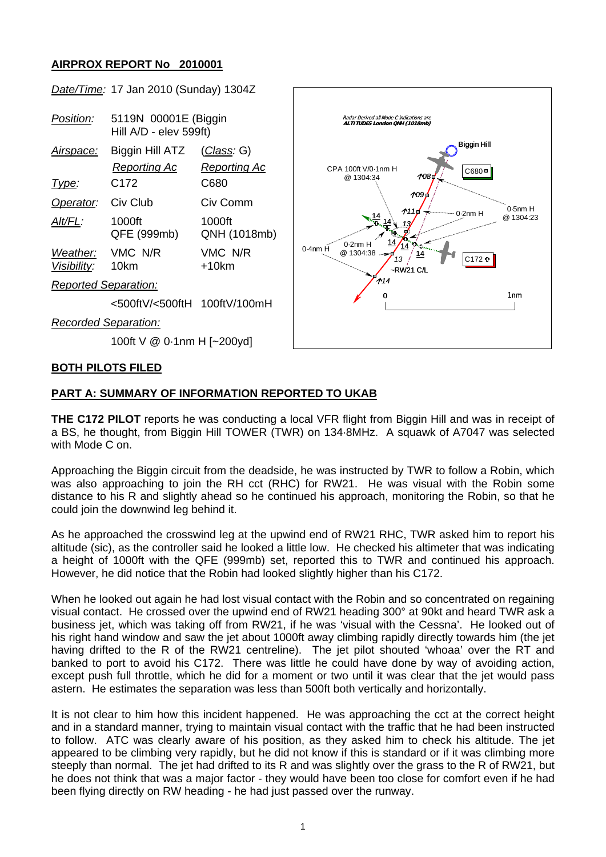## **AIRPROX REPORT No 2010001**



## **PART A: SUMMARY OF INFORMATION REPORTED TO UKAB**

**THE C172 PILOT** reports he was conducting a local VFR flight from Biggin Hill and was in receipt of a BS, he thought, from Biggin Hill TOWER (TWR) on 134·8MHz. A squawk of A7047 was selected with Mode C on.

Approaching the Biggin circuit from the deadside, he was instructed by TWR to follow a Robin, which was also approaching to join the RH cct (RHC) for RW21. He was visual with the Robin some distance to his R and slightly ahead so he continued his approach, monitoring the Robin, so that he could join the downwind leg behind it.

As he approached the crosswind leg at the upwind end of RW21 RHC, TWR asked him to report his altitude (sic), as the controller said he looked a little low. He checked his altimeter that was indicating a height of 1000ft with the QFE (999mb) set, reported this to TWR and continued his approach. However, he did notice that the Robin had looked slightly higher than his C172.

When he looked out again he had lost visual contact with the Robin and so concentrated on regaining visual contact. He crossed over the upwind end of RW21 heading 300° at 90kt and heard TWR ask a business jet, which was taking off from RW21, if he was 'visual with the Cessna'. He looked out of his right hand window and saw the jet about 1000ft away climbing rapidly directly towards him (the jet having drifted to the R of the RW21 centreline). The jet pilot shouted 'whoaa' over the RT and banked to port to avoid his C172. There was little he could have done by way of avoiding action, except push full throttle, which he did for a moment or two until it was clear that the jet would pass astern. He estimates the separation was less than 500ft both vertically and horizontally.

It is not clear to him how this incident happened. He was approaching the cct at the correct height and in a standard manner, trying to maintain visual contact with the traffic that he had been instructed to follow. ATC was clearly aware of his position, as they asked him to check his altitude. The jet appeared to be climbing very rapidly, but he did not know if this is standard or if it was climbing more steeply than normal. The jet had drifted to its R and was slightly over the grass to the R of RW21, but he does not think that was a major factor - they would have been too close for comfort even if he had been flying directly on RW heading - he had just passed over the runway.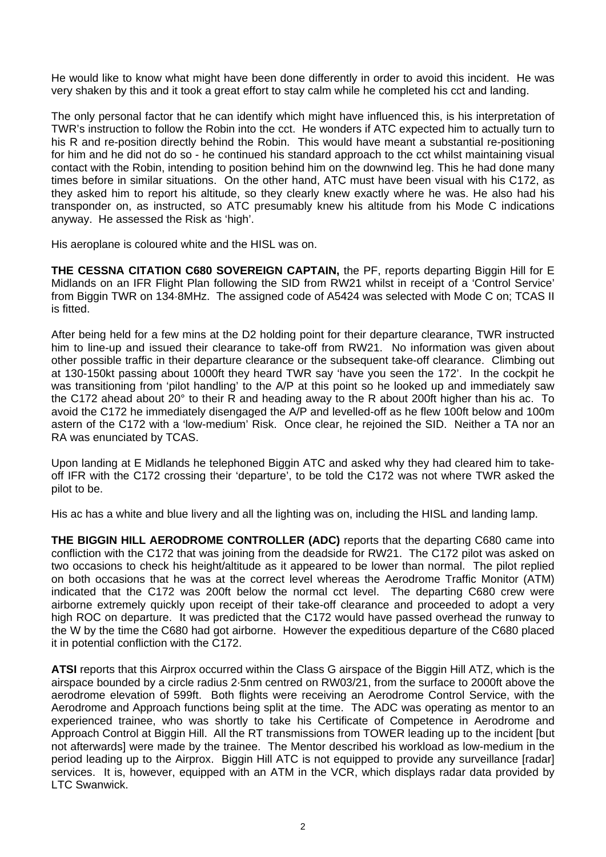He would like to know what might have been done differently in order to avoid this incident. He was very shaken by this and it took a great effort to stay calm while he completed his cct and landing.

The only personal factor that he can identify which might have influenced this, is his interpretation of TWR's instruction to follow the Robin into the cct. He wonders if ATC expected him to actually turn to his R and re-position directly behind the Robin. This would have meant a substantial re-positioning for him and he did not do so - he continued his standard approach to the cct whilst maintaining visual contact with the Robin, intending to position behind him on the downwind leg. This he had done many times before in similar situations. On the other hand, ATC must have been visual with his C172, as they asked him to report his altitude, so they clearly knew exactly where he was. He also had his transponder on, as instructed, so ATC presumably knew his altitude from his Mode C indications anyway. He assessed the Risk as 'high'.

His aeroplane is coloured white and the HISL was on.

**THE CESSNA CITATION C680 SOVEREIGN CAPTAIN,** the PF, reports departing Biggin Hill for E Midlands on an IFR Flight Plan following the SID from RW21 whilst in receipt of a 'Control Service' from Biggin TWR on 134·8MHz. The assigned code of A5424 was selected with Mode C on; TCAS II is fitted.

After being held for a few mins at the D2 holding point for their departure clearance, TWR instructed him to line-up and issued their clearance to take-off from RW21. No information was given about other possible traffic in their departure clearance or the subsequent take-off clearance. Climbing out at 130-150kt passing about 1000ft they heard TWR say 'have you seen the 172'. In the cockpit he was transitioning from 'pilot handling' to the A/P at this point so he looked up and immediately saw the C172 ahead about 20° to their R and heading away to the R about 200ft higher than his ac. To avoid the C172 he immediately disengaged the A/P and levelled-off as he flew 100ft below and 100m astern of the C172 with a 'low-medium' Risk. Once clear, he rejoined the SID. Neither a TA nor an RA was enunciated by TCAS.

Upon landing at E Midlands he telephoned Biggin ATC and asked why they had cleared him to takeoff IFR with the C172 crossing their 'departure', to be told the C172 was not where TWR asked the pilot to be.

His ac has a white and blue livery and all the lighting was on, including the HISL and landing lamp.

**THE BIGGIN HILL AERODROME CONTROLLER (ADC)** reports that the departing C680 came into confliction with the C172 that was joining from the deadside for RW21. The C172 pilot was asked on two occasions to check his height/altitude as it appeared to be lower than normal. The pilot replied on both occasions that he was at the correct level whereas the Aerodrome Traffic Monitor (ATM) indicated that the C172 was 200ft below the normal cct level. The departing C680 crew were airborne extremely quickly upon receipt of their take-off clearance and proceeded to adopt a very high ROC on departure. It was predicted that the C172 would have passed overhead the runway to the W by the time the C680 had got airborne. However the expeditious departure of the C680 placed it in potential confliction with the C172.

**ATSI** reports that this Airprox occurred within the Class G airspace of the Biggin Hill ATZ, which is the airspace bounded by a circle radius 2·5nm centred on RW03/21, from the surface to 2000ft above the aerodrome elevation of 599ft. Both flights were receiving an Aerodrome Control Service, with the Aerodrome and Approach functions being split at the time. The ADC was operating as mentor to an experienced trainee, who was shortly to take his Certificate of Competence in Aerodrome and Approach Control at Biggin Hill. All the RT transmissions from TOWER leading up to the incident [but not afterwards] were made by the trainee. The Mentor described his workload as low-medium in the period leading up to the Airprox. Biggin Hill ATC is not equipped to provide any surveillance [radar] services. It is, however, equipped with an ATM in the VCR, which displays radar data provided by LTC Swanwick.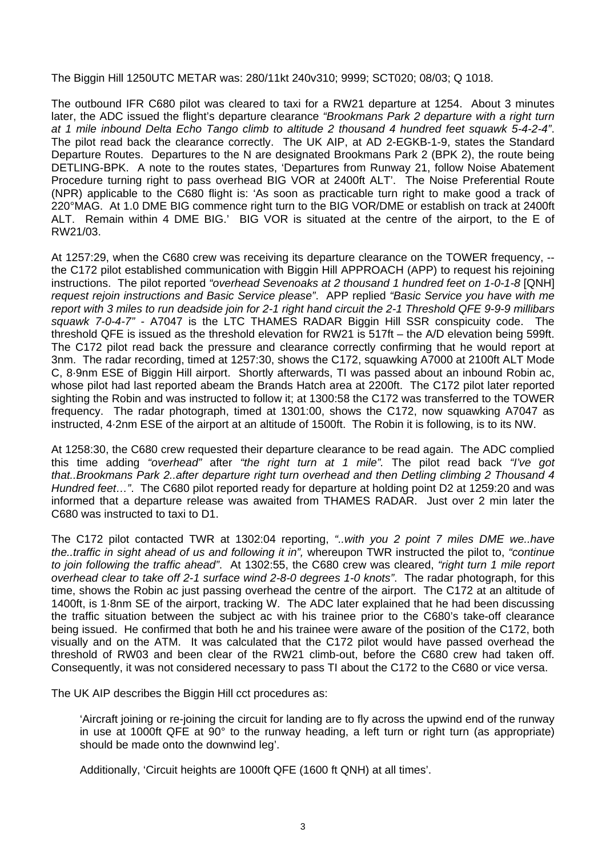The Biggin Hill 1250UTC METAR was: 280/11kt 240v310; 9999; SCT020; 08/03; Q 1018.

The outbound IFR C680 pilot was cleared to taxi for a RW21 departure at 1254. About 3 minutes later, the ADC issued the flight's departure clearance *"Brookmans Park 2 departure with a right turn at 1 mile inbound Delta Echo Tango climb to altitude 2 thousand 4 hundred feet squawk 5-4-2-4"*. The pilot read back the clearance correctly. The UK AIP, at AD 2-EGKB-1-9, states the Standard Departure Routes. Departures to the N are designated Brookmans Park 2 (BPK 2), the route being DETLING-BPK. A note to the routes states, 'Departures from Runway 21, follow Noise Abatement Procedure turning right to pass overhead BIG VOR at 2400ft ALT'. The Noise Preferential Route (NPR) applicable to the C680 flight is: 'As soon as practicable turn right to make good a track of 220°MAG. At 1.0 DME BIG commence right turn to the BIG VOR/DME or establish on track at 2400ft ALT. Remain within 4 DME BIG.' BIG VOR is situated at the centre of the airport, to the E of RW21/03.

At 1257:29, when the C680 crew was receiving its departure clearance on the TOWER frequency, - the C172 pilot established communication with Biggin Hill APPROACH (APP) to request his rejoining instructions. The pilot reported *"overhead Sevenoaks at 2 thousand 1 hundred feet on 1-0-1-8* [QNH] *request rejoin instructions and Basic Service please"*. APP replied *"Basic Service you have with me report with 3 miles to run deadside join for 2-1 right hand circuit the 2-1 Threshold QFE 9-9-9 millibars squawk 7-0-4-7" -* A7047 is the LTC THAMES RADAR Biggin Hill SSR conspicuity code. The threshold QFE is issued as the threshold elevation for RW21 is 517ft – the A/D elevation being 599ft. The C172 pilot read back the pressure and clearance correctly confirming that he would report at 3nm. The radar recording, timed at 1257:30, shows the C172, squawking A7000 at 2100ft ALT Mode C, 8·9nm ESE of Biggin Hill airport. Shortly afterwards, TI was passed about an inbound Robin ac, whose pilot had last reported abeam the Brands Hatch area at 2200ft. The C172 pilot later reported sighting the Robin and was instructed to follow it; at 1300:58 the C172 was transferred to the TOWER frequency. The radar photograph, timed at 1301:00, shows the C172, now squawking A7047 as instructed, 4·2nm ESE of the airport at an altitude of 1500ft. The Robin it is following, is to its NW.

At 1258:30, the C680 crew requested their departure clearance to be read again. The ADC complied this time adding *"overhead"* after *"the right turn at 1 mile".* The pilot read back *"I've got that..Brookmans Park 2..after departure right turn overhead and then Detling climbing 2 Thousand 4 Hundred feet…"*. The C680 pilot reported ready for departure at holding point D2 at 1259:20 and was informed that a departure release was awaited from THAMES RADAR. Just over 2 min later the C680 was instructed to taxi to D1.

The C172 pilot contacted TWR at 1302:04 reporting, *"..with you 2 point 7 miles DME we..have the..traffic in sight ahead of us and following it in",* whereupon TWR instructed the pilot to, *"continue to join following the traffic ahead"*. At 1302:55, the C680 crew was cleared, *"right turn 1 mile report overhead clear to take off 2-1 surface wind 2-8-0 degrees 1-0 knots"*. The radar photograph, for this time, shows the Robin ac just passing overhead the centre of the airport. The C172 at an altitude of 1400ft, is 1·8nm SE of the airport, tracking W. The ADC later explained that he had been discussing the traffic situation between the subject ac with his trainee prior to the C680's take-off clearance being issued. He confirmed that both he and his trainee were aware of the position of the C172, both visually and on the ATM. It was calculated that the C172 pilot would have passed overhead the threshold of RW03 and been clear of the RW21 climb-out, before the C680 crew had taken off. Consequently, it was not considered necessary to pass TI about the C172 to the C680 or vice versa.

The UK AIP describes the Biggin Hill cct procedures as:

'Aircraft joining or re-joining the circuit for landing are to fly across the upwind end of the runway in use at 1000ft QFE at 90° to the runway heading, a left turn or right turn (as appropriate) should be made onto the downwind leg'.

Additionally, 'Circuit heights are 1000ft QFE (1600 ft QNH) at all times'.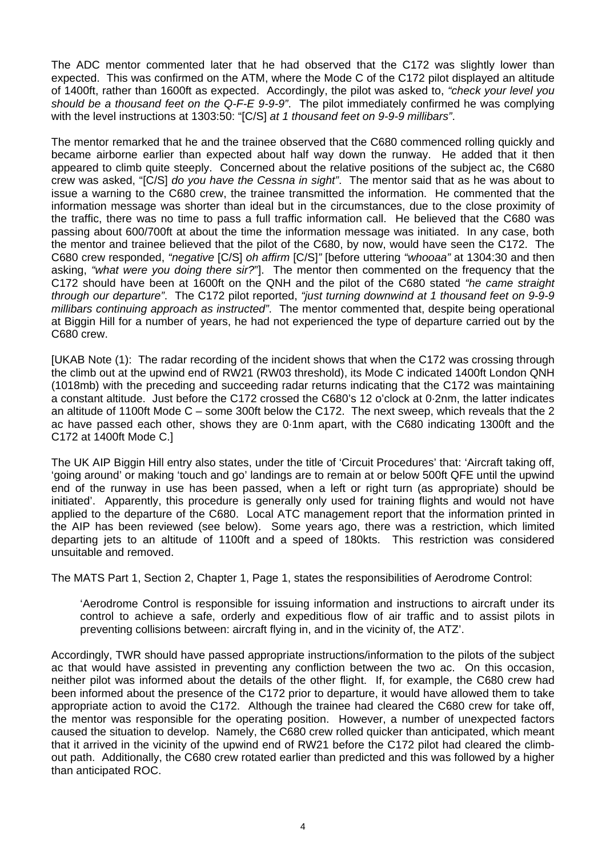The ADC mentor commented later that he had observed that the C172 was slightly lower than expected. This was confirmed on the ATM, where the Mode C of the C172 pilot displayed an altitude of 1400ft, rather than 1600ft as expected. Accordingly, the pilot was asked to, *"check your level you should be a thousand feet on the Q-F-E 9-9-9"*. The pilot immediately confirmed he was complying with the level instructions at 1303:50: "[C/S] *at 1 thousand feet on 9-9-9 millibars"*.

The mentor remarked that he and the trainee observed that the C680 commenced rolling quickly and became airborne earlier than expected about half way down the runway. He added that it then appeared to climb quite steeply. Concerned about the relative positions of the subject ac, the C680 crew was asked, "[C/S] *do you have the Cessna in sight"*. The mentor said that as he was about to issue a warning to the C680 crew, the trainee transmitted the information. He commented that the information message was shorter than ideal but in the circumstances, due to the close proximity of the traffic, there was no time to pass a full traffic information call. He believed that the C680 was passing about 600/700ft at about the time the information message was initiated. In any case, both the mentor and trainee believed that the pilot of the C680, by now, would have seen the C172. The C680 crew responded, *"negative* [C/S] *oh affirm* [C/S]*"* [before uttering *"whooaa"* at 1304:30 and then asking, *"what were you doing there sir?*"]. The mentor then commented on the frequency that the C172 should have been at 1600ft on the QNH and the pilot of the C680 stated *"he came straight through our departure"*. The C172 pilot reported, *"just turning downwind at 1 thousand feet on 9-9-9 millibars continuing approach as instructed"*. The mentor commented that, despite being operational at Biggin Hill for a number of years, he had not experienced the type of departure carried out by the C680 crew.

[UKAB Note (1): The radar recording of the incident shows that when the C172 was crossing through the climb out at the upwind end of RW21 (RW03 threshold), its Mode C indicated 1400ft London QNH (1018mb) with the preceding and succeeding radar returns indicating that the C172 was maintaining a constant altitude. Just before the C172 crossed the C680's 12 o'clock at 0·2nm, the latter indicates an altitude of 1100ft Mode C – some 300ft below the C172. The next sweep, which reveals that the 2 ac have passed each other, shows they are 0·1nm apart, with the C680 indicating 1300ft and the C172 at 1400ft Mode C.]

The UK AIP Biggin Hill entry also states, under the title of 'Circuit Procedures' that: 'Aircraft taking off, 'going around' or making 'touch and go' landings are to remain at or below 500ft QFE until the upwind end of the runway in use has been passed, when a left or right turn (as appropriate) should be initiated'. Apparently, this procedure is generally only used for training flights and would not have applied to the departure of the C680. Local ATC management report that the information printed in the AIP has been reviewed (see below). Some years ago, there was a restriction, which limited departing jets to an altitude of 1100ft and a speed of 180kts. This restriction was considered unsuitable and removed.

The MATS Part 1, Section 2, Chapter 1, Page 1, states the responsibilities of Aerodrome Control:

'Aerodrome Control is responsible for issuing information and instructions to aircraft under its control to achieve a safe, orderly and expeditious flow of air traffic and to assist pilots in preventing collisions between: aircraft flying in, and in the vicinity of, the ATZ'.

Accordingly, TWR should have passed appropriate instructions/information to the pilots of the subject ac that would have assisted in preventing any confliction between the two ac. On this occasion, neither pilot was informed about the details of the other flight. If, for example, the C680 crew had been informed about the presence of the C172 prior to departure, it would have allowed them to take appropriate action to avoid the C172. Although the trainee had cleared the C680 crew for take off, the mentor was responsible for the operating position. However, a number of unexpected factors caused the situation to develop. Namely, the C680 crew rolled quicker than anticipated, which meant that it arrived in the vicinity of the upwind end of RW21 before the C172 pilot had cleared the climbout path. Additionally, the C680 crew rotated earlier than predicted and this was followed by a higher than anticipated ROC.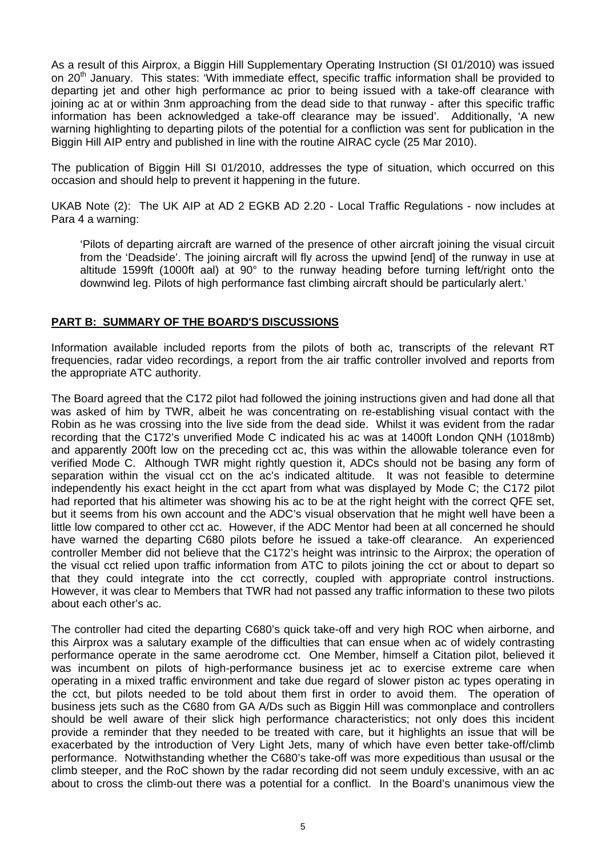As a result of this Airprox, a Biggin Hill Supplementary Operating Instruction (SI 01/2010) was issued on 20<sup>th</sup> January. This states: 'With immediate effect, specific traffic information shall be provided to departing jet and other high performance ac prior to being issued with a take-off clearance with joining ac at or within 3nm approaching from the dead side to that runway - after this specific traffic information has been acknowledged a take-off clearance may be issued'. Additionally, 'A new warning highlighting to departing pilots of the potential for a confliction was sent for publication in the Biggin Hill AIP entry and published in line with the routine AIRAC cycle (25 Mar 2010).

The publication of Biggin Hill SI 01/2010, addresses the type of situation, which occurred on this occasion and should help to prevent it happening in the future.

UKAB Note (2): The UK AIP at AD 2 EGKB AD 2.20 - Local Traffic Regulations - now includes at Para 4 a warning:

'Pilots of departing aircraft are warned of the presence of other aircraft joining the visual circuit from the 'Deadside'. The joining aircraft will fly across the upwind [end] of the runway in use at altitude 1599ft (1000ft aal) at 90° to the runway heading before turning left/right onto the downwind leg. Pilots of high performance fast climbing aircraft should be particularly alert.'

## **PART B: SUMMARY OF THE BOARD'S DISCUSSIONS**

Information available included reports from the pilots of both ac, transcripts of the relevant RT frequencies, radar video recordings, a report from the air traffic controller involved and reports from the appropriate ATC authority.

The Board agreed that the C172 pilot had followed the joining instructions given and had done all that was asked of him by TWR, albeit he was concentrating on re-establishing visual contact with the Robin as he was crossing into the live side from the dead side. Whilst it was evident from the radar recording that the C172's unverified Mode C indicated his ac was at 1400ft London QNH (1018mb) and apparently 200ft low on the preceding cct ac, this was within the allowable tolerance even for verified Mode C. Although TWR might rightly question it, ADCs should not be basing any form of separation within the visual cct on the ac's indicated altitude. It was not feasible to determine independently his exact height in the cct apart from what was displayed by Mode C; the C172 pilot had reported that his altimeter was showing his ac to be at the right height with the correct QFE set, but it seems from his own account and the ADC's visual observation that he might well have been a little low compared to other cct ac. However, if the ADC Mentor had been at all concerned he should have warned the departing C680 pilots before he issued a take-off clearance. An experienced controller Member did not believe that the C172's height was intrinsic to the Airprox; the operation of the visual cct relied upon traffic information from ATC to pilots joining the cct or about to depart so that they could integrate into the cct correctly, coupled with appropriate control instructions. However, it was clear to Members that TWR had not passed any traffic information to these two pilots about each other's ac.

The controller had cited the departing C680's quick take-off and very high ROC when airborne, and this Airprox was a salutary example of the difficulties that can ensue when ac of widely contrasting performance operate in the same aerodrome cct. One Member, himself a Citation pilot, believed it was incumbent on pilots of high-performance business jet ac to exercise extreme care when operating in a mixed traffic environment and take due regard of slower piston ac types operating in the cct, but pilots needed to be told about them first in order to avoid them. The operation of business jets such as the C680 from GA A/Ds such as Biggin Hill was commonplace and controllers should be well aware of their slick high performance characteristics; not only does this incident provide a reminder that they needed to be treated with care, but it highlights an issue that will be exacerbated by the introduction of Very Light Jets, many of which have even better take-off/climb performance. Notwithstanding whether the C680's take-off was more expeditious than ususal or the climb steeper, and the RoC shown by the radar recording did not seem unduly excessive, with an ac about to cross the climb-out there was a potential for a conflict. In the Board's unanimous view the